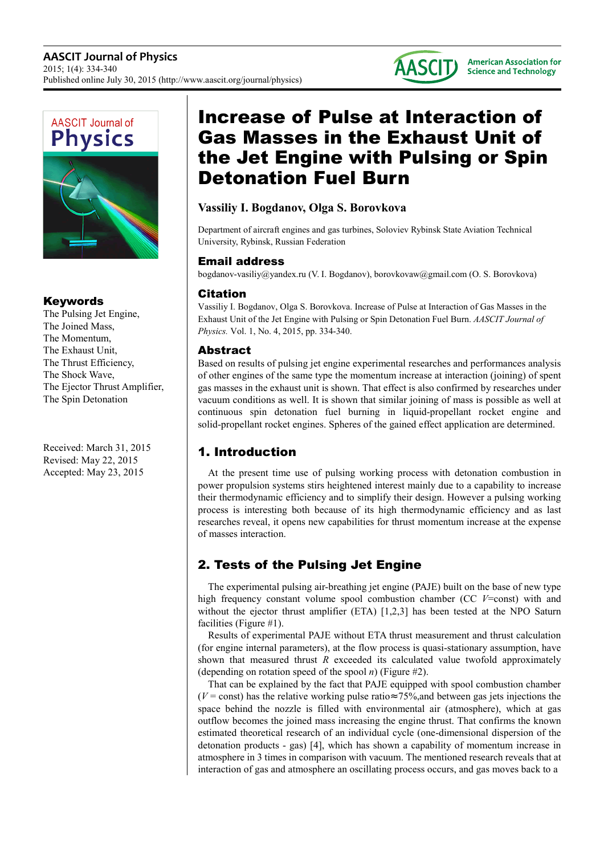



### Keywords

The Pulsing Jet Engine, The Joined Mass, The Momentum, The Exhaust Unit, The Thrust Efficiency, The Shock Wave, The Ejector Thrust Amplifier, The Spin Detonation

Received: March 31, 2015 Revised: May 22, 2015 Accepted: May 23, 2015

# Increase of Pulse at Interaction of Gas Masses in the Exhaust Unit of the Jet Engine with Pulsing or Spin Detonation Fuel Burn

### **Vassiliy I. Bogdanov, Olga S. Borovkova**

Department of aircraft engines and gas turbines, Soloviev Rybinsk State Aviation Technical University, Rybinsk, Russian Federation

### Email address

bogdanov-vasiliy@yandex.ru (V. I. Bogdanov), borovkovaw@gmail.com (O. S. Borovkova)

### Citation

Vassiliy I. Bogdanov, Olga S. Borovkova. Increase of Pulse at Interaction of Gas Masses in the Exhaust Unit of the Jet Engine with Pulsing or Spin Detonation Fuel Burn. *AASCIT Journal of Physics.* Vol. 1, No. 4, 2015, pp. 334-340.

### Abstract

Based on results of pulsing jet engine experimental researches and performances analysis of other engines of the same type the momentum increase at interaction (joining) of spent gas masses in the exhaust unit is shown. That effect is also confirmed by researches under vacuum conditions as well. It is shown that similar joining of mass is possible as well at continuous spin detonation fuel burning in liquid-propellant rocket engine and solid-propellant rocket engines. Spheres of the gained effect application are determined.

## 1. Introduction

At the present time use of pulsing working process with detonation combustion in power propulsion systems stirs heightened interest mainly due to a capability to increase their thermodynamic efficiency and to simplify their design. However a pulsing working process is interesting both because of its high thermodynamic efficiency and as last researches reveal, it opens new capabilities for thrust momentum increase at the expense of masses interaction.

## 2. Tests of the Pulsing Jet Engine

The experimental pulsing air-breathing jet engine (PAJE) built on the base of new type high frequency constant volume spool combustion chamber (CC *V*=const) with and without the ejector thrust amplifier (ETA) [1,2,3] has been tested at the NPO Saturn facilities (Figure #1).

Results of experimental PAJE without ETA thrust measurement and thrust calculation (for engine internal parameters), at the flow process is quasi-stationary assumption, have shown that measured thrust *R* exceeded its calculated value twofold approximately (depending on rotation speed of the spool *n*) (Figure #2).

That can be explained by the fact that PAJE equipped with spool combustion chamber ( $V =$ const) has the relative working pulse ratio≈ 75%, and between gas jets injections the space behind the nozzle is filled with environmental air (atmosphere), which at gas outflow becomes the joined mass increasing the engine thrust. That confirms the known estimated theoretical research of an individual cycle (one-dimensional dispersion of the detonation products - gas) [4], which has shown a capability of momentum increase in atmosphere in 3 times in comparison with vacuum. The mentioned research reveals that at interaction of gas and atmosphere an oscillating process occurs, and gas moves back to a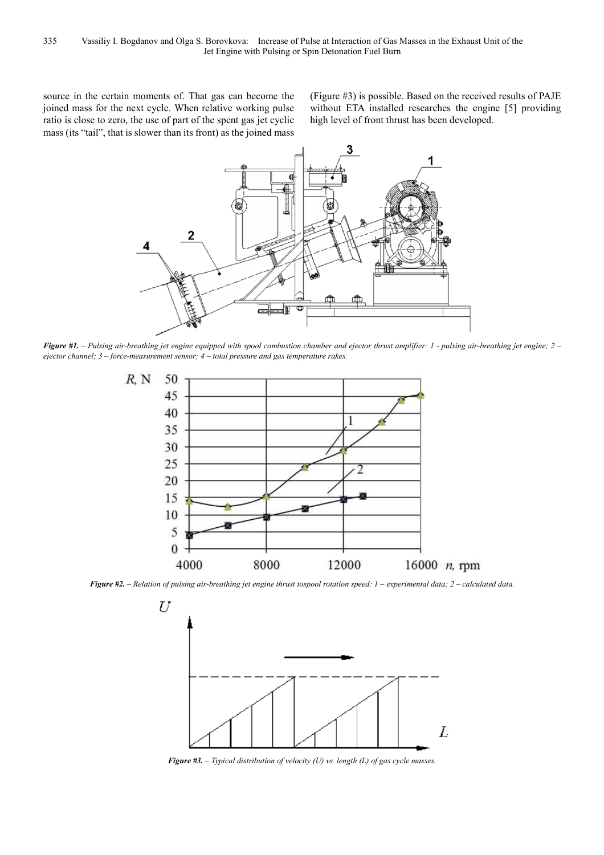source in the certain moments of. That gas can become the joined mass for the next cycle. When relative working pulse ratio is close to zero, the use of part of the spent gas jet cyclic mass (its "tail", that is slower than its front) as the joined mass (Figure #3) is possible. Based on the received results of PAJE without ETA installed researches the engine [5] providing high level of front thrust has been developed.



*Figure #1. – Pulsing air-breathing jet engine equipped with spool combustion chamber and ejector thrust amplifier: 1 - pulsing air-breathing jet engine; 2 – ejector channel; 3 – force-measurement sensor; 4 – total pressure and gas temperature rakes.* 



*Figure #2. – Relation of pulsing air-breathing jet engine thrust tospool rotation speed: 1 – experimental data; 2 – calculated data.* 



*Figure #3. – Typical distribution of velocity (U) vs. length (L) of gas cycle masses.*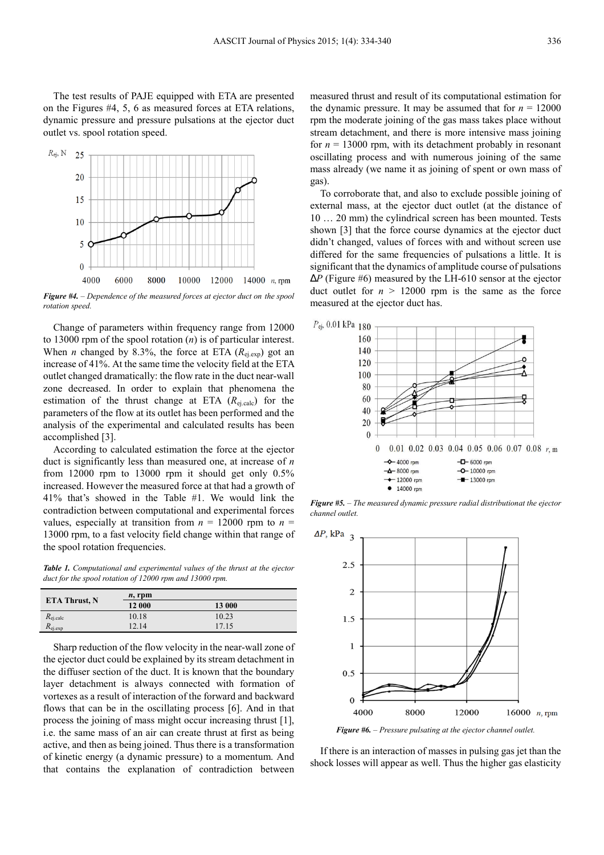The test results of PAJE equipped with ETA are presented on the Figures #4, 5, 6 as measured forces at ETA relations, dynamic pressure and pressure pulsations at the ejector duct outlet vs. spool rotation speed.



*Figure #4. – Dependence of the measured forces at ejector duct on the spool rotation speed.* 

Change of parameters within frequency range from 12000 to 13000 rpm of the spool rotation (*n*) is of particular interest. When *n* changed by 8.3%, the force at ETA  $(R_{e_i,exp})$  got an increase of 41%. At the same time the velocity field at the ETA outlet changed dramatically: the flow rate in the duct near-wall zone decreased. In order to explain that phenomena the estimation of the thrust change at ETA (*R*ej.calc) for the parameters of the flow at its outlet has been performed and the analysis of the experimental and calculated results has been accomplished [3].

According to calculated estimation the force at the ejector duct is significantly less than measured one, at increase of *n* from 12000 rpm to 13000 rpm it should get only 0.5% increased. However the measured force at that had a growth of 41% that's showed in the Table #1. We would link the contradiction between computational and experimental forces values, especially at transition from  $n = 12000$  rpm to  $n =$ 13000 rpm, to a fast velocity field change within that range of the spool rotation frequencies.

*Table 1. Computational and experimental values of the thrust at the ejector duct for the spool rotation of 12000 rpm and 13000 rpm.* 

| <b>ETA Thrust, N</b> | $n$ , rpm |        |
|----------------------|-----------|--------|
|                      | 12 000    | 13 000 |
| $R_{\rm ei, calc}$   | 10.18     | 10.23  |
| $R_{ej,exp}$         | 12.14     | 17.15  |

Sharp reduction of the flow velocity in the near-wall zone of the ejector duct could be explained by its stream detachment in the diffuser section of the duct. It is known that the boundary layer detachment is always connected with formation of vortexes as a result of interaction of the forward and backward flows that can be in the oscillating process [6]. And in that process the joining of mass might occur increasing thrust [1], i.e. the same mass of an air can create thrust at first as being active, and then as being joined. Thus there is a transformation of kinetic energy (a dynamic pressure) to a momentum. And that contains the explanation of contradiction between

measured thrust and result of its computational estimation for the dynamic pressure. It may be assumed that for  $n = 12000$ rpm the moderate joining of the gas mass takes place without stream detachment, and there is more intensive mass joining for  $n = 13000$  rpm, with its detachment probably in resonant oscillating process and with numerous joining of the same mass already (we name it as joining of spent or own mass of gas).

To corroborate that, and also to exclude possible joining of external mass, at the ejector duct outlet (at the distance of 10 … 20 mm) the cylindrical screen has been mounted. Tests shown [3] that the force course dynamics at the ejector duct didn't changed, values of forces with and without screen use differed for the same frequencies of pulsations a little. It is significant that the dynamics of amplitude course of pulsations ∆*P* (Figure #6) measured by the LH-610 sensor at the ejector duct outlet for  $n > 12000$  rpm is the same as the force measured at the ejector duct has.



*Figure #5. – The measured dynamic pressure radial distributionat the ejector channel outlet.* 



*Figure #6. – Pressure pulsating at the ejector channel outlet.*

If there is an interaction of masses in pulsing gas jet than the shock losses will appear as well. Thus the higher gas elasticity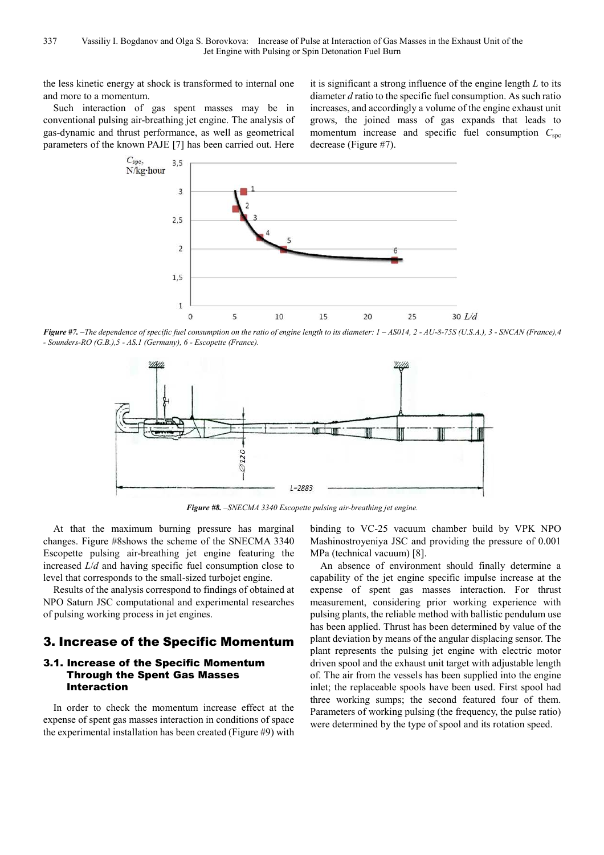the less kinetic energy at shock is transformed to internal one and more to a momentum.

Such interaction of gas spent masses may be in conventional pulsing air-breathing jet engine. The analysis of gas-dynamic and thrust performance, as well as geometrical parameters of the known PAJE [7] has been carried out. Here

it is significant a strong influence of the engine length *L* to its diameter *d* ratio to the specific fuel consumption. As such ratio increases, and accordingly a volume of the engine exhaust unit grows, the joined mass of gas expands that leads to momentum increase and specific fuel consumption  $C_{\text{soc}}$ decrease (Figure #7).



*Figure #7. –The dependence of specific fuel consumption on the ratio of engine length to its diameter: 1 – AS014, 2 - AU-8-75S (U.S.A.), 3 - SNCAN (France),4 - Sounders-RO (G.B.),5 - AS.1 (Germany), 6 - Escopette (France).* 



*Figure #8. –SNECMA 3340 Escopette pulsing air-breathing jet engine.* 

At that the maximum burning pressure has marginal changes. Figure #8shows the scheme of the SNECMA 3340 Escopette pulsing air-breathing jet engine featuring the increased *L*/*d* and having specific fuel consumption close to level that corresponds to the small-sized turbojet engine.

Results of the analysis correspond to findings of obtained at NPO Saturn JSC computational and experimental researches of pulsing working process in jet engines.

### 3. Increase of the Specific Momentum

### 3.1. Increase of the Specific Momentum Through the Spent Gas Masses Interaction

In order to check the momentum increase effect at the expense of spent gas masses interaction in conditions of space the experimental installation has been created (Figure #9) with

binding to VC-25 vacuum chamber build by VPK NPO Mashinostroyeniya JSC and providing the pressure of 0.001 MPa (technical vacuum) [8].

An absence of environment should finally determine a capability of the jet engine specific impulse increase at the expense of spent gas masses interaction. For thrust measurement, considering prior working experience with pulsing plants, the reliable method with ballistic pendulum use has been applied. Thrust has been determined by value of the plant deviation by means of the angular displacing sensor. The plant represents the pulsing jet engine with electric motor driven spool and the exhaust unit target with adjustable length of. The air from the vessels has been supplied into the engine inlet; the replaceable spools have been used. First spool had three working sumps; the second featured four of them. Parameters of working pulsing (the frequency, the pulse ratio) were determined by the type of spool and its rotation speed.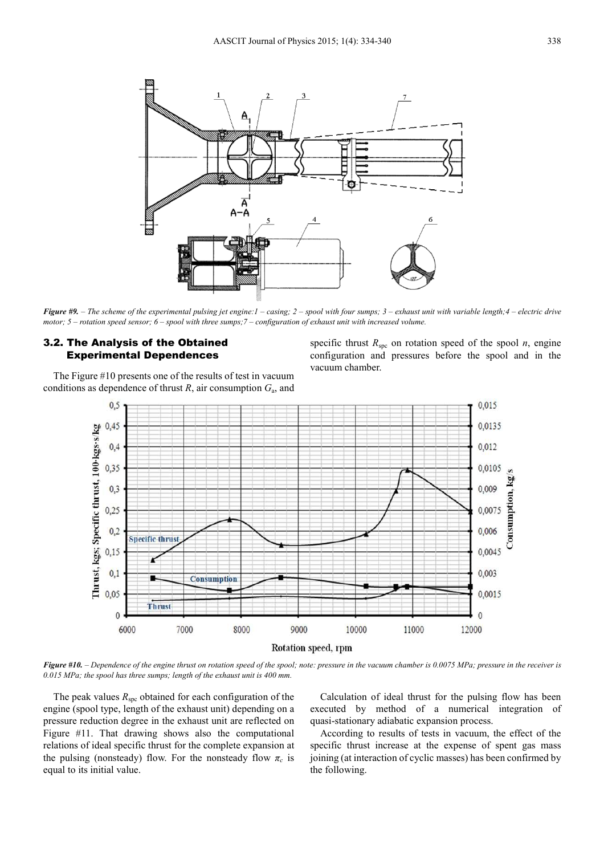

*Figure #9. – The scheme of the experimental pulsing jet engine:1 – casing; 2 – spool with four sumps; 3 – exhaust unit with variable length;4 – electric drive motor; 5 – rotation speed sensor; 6 – spool with three sumps;7 – configuration of exhaust unit with increased volume.* 

### 3.2. The Analysis of the Obtained Experimental Dependences

The Figure #10 presents one of the results of test in vacuum conditions as dependence of thrust  $R$ , air consumption  $G_a$ , and



*Figure #10. – Dependence of the engine thrust on rotation speed of the spool; note: pressure in the vacuum chamber is 0.0075 MPa; pressure in the receiver is 0.015 MPa; the spool has three sumps; length of the exhaust unit is 400 mm.* 

The peak values  $R_{\rm{spc}}$  obtained for each configuration of the engine (spool type, length of the exhaust unit) depending on a pressure reduction degree in the exhaust unit are reflected on Figure #11. That drawing shows also the computational relations of ideal specific thrust for the complete expansion at the pulsing (nonsteady) flow. For the nonsteady flow *π<sup>с</sup>* is equal to its initial value.

Calculation of ideal thrust for the pulsing flow has been executed by method of a numerical integration of quasi-stationary adiabatic expansion process.

According to results of tests in vacuum, the effect of the specific thrust increase at the expense of spent gas mass joining (at interaction of cyclic masses) has been confirmed by the following.

specific thrust  $R_{\text{soc}}$  on rotation speed of the spool *n*, engine configuration and pressures before the spool and in the vacuum chamber.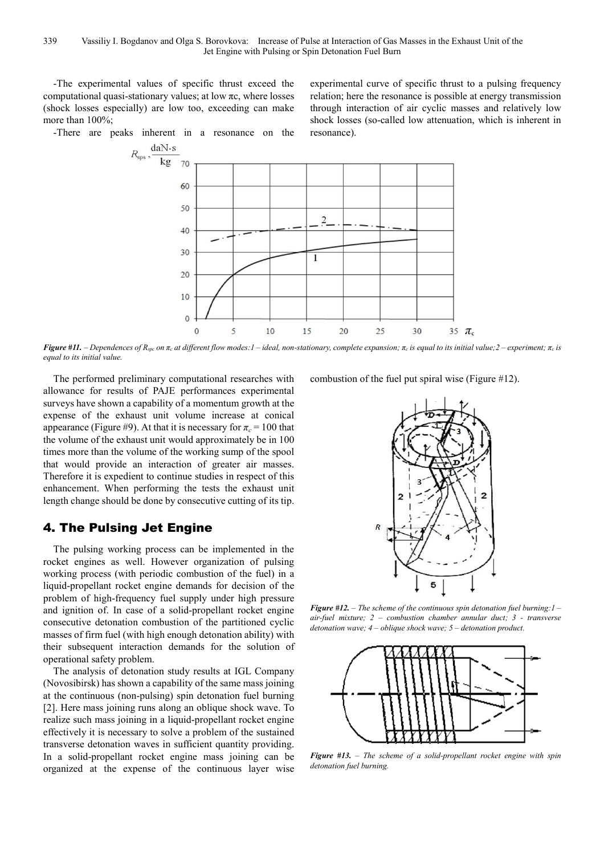-The experimental values of specific thrust exceed the computational quasi-stationary values; at low πс, where losses (shock losses especially) are low too, exceeding can make more than 100%;

-There are peaks inherent in a resonance on the

experimental curve of specific thrust to a pulsing frequency relation; here the resonance is possible at energy transmission through interaction of air cyclic masses and relatively low shock losses (so-called low attenuation, which is inherent in resonance).



Figure #11. - Dependences of  $R_{spe}$  on  $\pi_c$  at different flow modes: 1 - ideal, non-stationary, complete expansion;  $\pi_c$  is equal to its initial value; 2 - experiment;  $\pi_c$  is *equal to its initial value.* 

The performed preliminary computational researches with allowance for results of PAJE performances experimental surveys have shown a capability of a momentum growth at the expense of the exhaust unit volume increase at conical appearance (Figure #9). At that it is necessary for  $\pi_c = 100$  that the volume of the exhaust unit would approximately be in 100 times more than the volume of the working sump of the spool that would provide an interaction of greater air masses. Therefore it is expedient to continue studies in respect of this enhancement. When performing the tests the exhaust unit length change should be done by consecutive cutting of its tip.

### 4. The Pulsing Jet Engine

The pulsing working process can be implemented in the rocket engines as well. However organization of pulsing working process (with periodic combustion of the fuel) in a liquid-propellant rocket engine demands for decision of the problem of high-frequency fuel supply under high pressure and ignition of. In case of a solid-propellant rocket engine consecutive detonation combustion of the partitioned cyclic masses of firm fuel (with high enough detonation ability) with their subsequent interaction demands for the solution of operational safety problem.

The analysis of detonation study results at IGL Company (Novosibirsk) has shown a capability of the same mass joining at the continuous (non-pulsing) spin detonation fuel burning [2]. Here mass joining runs along an oblique shock wave. To realize such mass joining in a liquid-propellant rocket engine effectively it is necessary to solve a problem of the sustained transverse detonation waves in sufficient quantity providing. In a solid-propellant rocket engine mass joining can be organized at the expense of the continuous layer wise combustion of the fuel put spiral wise (Figure #12).



*Figure #12. – The scheme of the continuous spin detonation fuel burning:1 – air-fuel mixture; 2 – combustion chamber annular duct; 3 - transverse detonation wave; 4 – oblique shock wave; 5 – detonation product.* 



*Figure #13. – The scheme of a solid-propellant rocket engine with spin detonation fuel burning.*